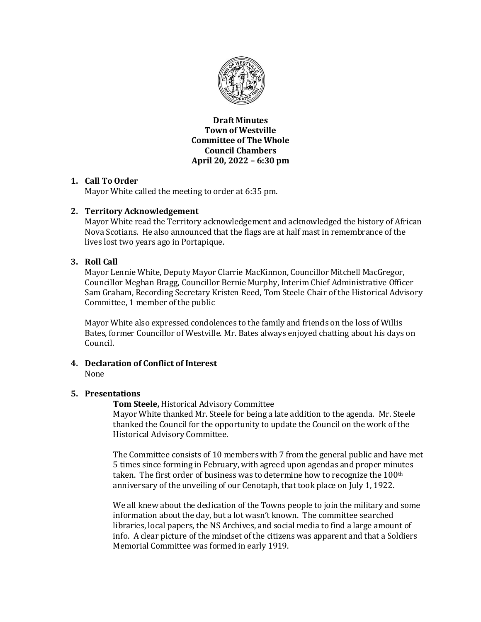

**Draft Minutes Town of Westville Committee of The Whole Council Chambers April 20, 2022 – 6:30 pm**

# **1. Call To Order**

Mayor White called the meeting to order at 6:35 pm.

# **2. Territory Acknowledgement**

Mayor White read the Territory acknowledgement and acknowledged the history of African Nova Scotians. He also announced that the flags are at half mast in remembrance of the lives lost two years ago in Portapique.

# **3. Roll Call**

Mayor Lennie White, Deputy Mayor Clarrie MacKinnon, Councillor Mitchell MacGregor, Councillor Meghan Bragg, Councillor Bernie Murphy, Interim Chief Administrative Officer Sam Graham, Recording Secretary Kristen Reed, Tom Steele Chair of the Historical Advisory Committee, 1 member of the public

Mayor White also expressed condolences to the family and friends on the loss of Willis Bates, former Councillor of Westville. Mr. Bates always enjoyed chatting about his days on Council.

### **4. Declaration of Conflict of Interest**  None

## **5. Presentations**

**Tom Steele,** Historical Advisory Committee

Mayor White thanked Mr. Steele for being a late addition to the agenda. Mr. Steele thanked the Council for the opportunity to update the Council on the work of the Historical Advisory Committee.

The Committee consists of 10 members with 7 from the general public and have met 5 times since forming in February, with agreed upon agendas and proper minutes taken. The first order of business was to determine how to recognize the  $100<sup>th</sup>$ anniversary of the unveiling of our Cenotaph, that took place on July 1, 1922.

We all knew about the dedication of the Towns people to join the military and some information about the day, but a lot wasn't known. The committee searched libraries, local papers, the NS Archives, and social media to find a large amount of info. A clear picture of the mindset of the citizens was apparent and that a Soldiers Memorial Committee was formed in early 1919.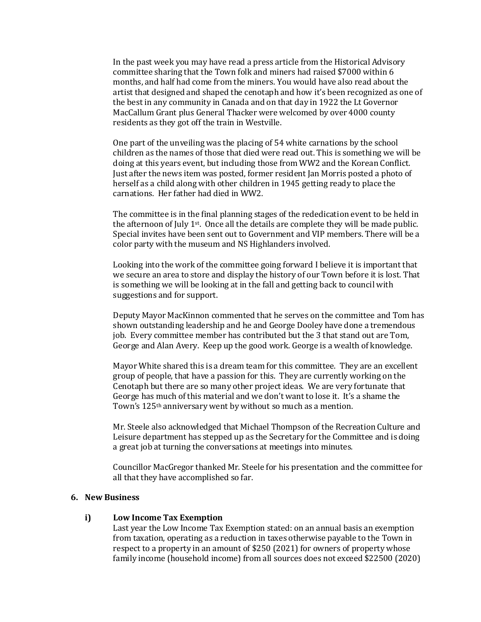In the past week you may have read a press article from the Historical Advisory committee sharing that the Town folk and miners had raised \$7000 within 6 months, and half had come from the miners. You would have also read about the artist that designed and shaped the cenotaph and how it's been recognized as one of the best in any community in Canada and on that day in 1922 the Lt Governor MacCallum Grant plus General Thacker were welcomed by over 4000 county residents as they got off the train in Westville.

One part of the unveiling was the placing of 54 white carnations by the school children as the names of those that died were read out. This is something we will be doing at this years event, but including those from WW2 and the Korean Conflict. Just after the news item was posted, former resident Jan Morris posted a photo of herself as a child along with other children in 1945 getting ready to place the carnations. Her father had died in WW2.

The committee is in the final planning stages of the rededication event to be held in the afternoon of July  $1^{st}$ . Once all the details are complete they will be made public. Special invites have been sent out to Government and VIP members. There will be a color party with the museum and NS Highlanders involved.

Looking into the work of the committee going forward I believe it is important that we secure an area to store and display the history of our Town before it is lost. That is something we will be looking at in the fall and getting back to council with suggestions and for support.

Deputy Mayor MacKinnon commented that he serves on the committee and Tom has shown outstanding leadership and he and George Dooley have done a tremendous job. Every committee member has contributed but the 3 that stand out are Tom, George and Alan Avery. Keep up the good work. George is a wealth of knowledge.

Mayor White shared this is a dream team for this committee. They are an excellent group of people, that have a passion for this. They are currently working on the Cenotaph but there are so many other project ideas. We are very fortunate that George has much of this material and we don't want to lose it. It's a shame the Town's 125th anniversary went by without so much as a mention.

Mr. Steele also acknowledged that Michael Thompson of the Recreation Culture and Leisure department has stepped up as the Secretary for the Committee and is doing a great job at turning the conversations at meetings into minutes.

Councillor MacGregor thanked Mr. Steele for his presentation and the committee for all that they have accomplished so far.

## **6. New Business**

#### **i) Low Income Tax Exemption**

Last year the Low Income Tax Exemption stated: on an annual basis an exemption from taxation, operating as a reduction in taxes otherwise payable to the Town in respect to a property in an amount of \$250 (2021) for owners of property whose family income (household income) from all sources does not exceed \$22500 (2020)